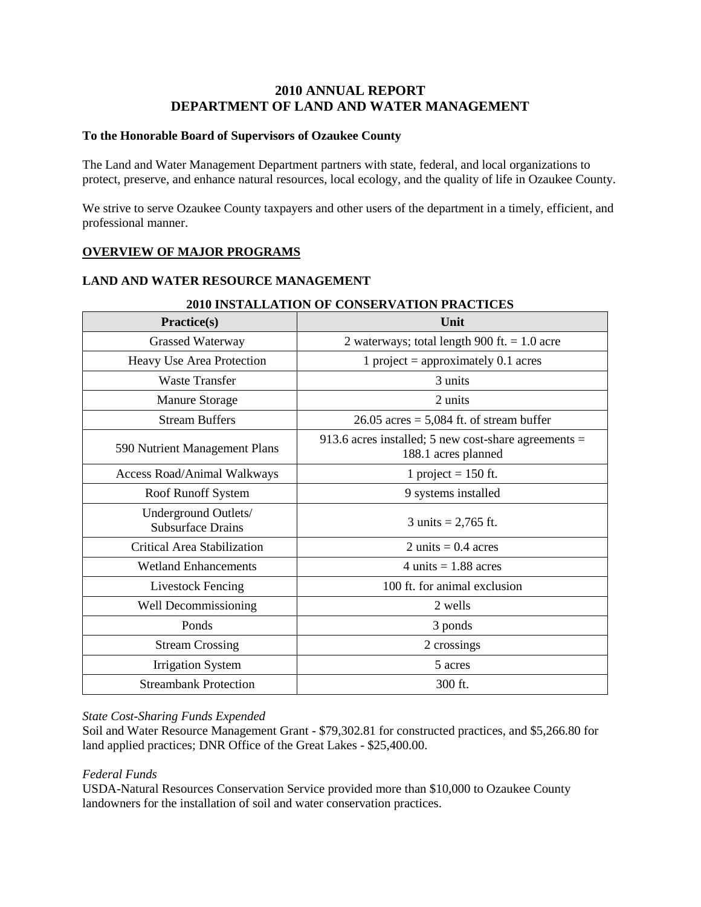# **2010 ANNUAL REPORT DEPARTMENT OF LAND AND WATER MANAGEMENT**

## **To the Honorable Board of Supervisors of Ozaukee County**

The Land and Water Management Department partners with state, federal, and local organizations to protect, preserve, and enhance natural resources, local ecology, and the quality of life in Ozaukee County.

We strive to serve Ozaukee County taxpayers and other users of the department in a timely, efficient, and professional manner.

# **OVERVIEW OF MAJOR PROGRAMS**

## **LAND AND WATER RESOURCE MANAGEMENT**

| Practice(s)                                      | Unit                                                                          |  |
|--------------------------------------------------|-------------------------------------------------------------------------------|--|
| Grassed Waterway                                 | 2 waterways; total length 900 ft. $= 1.0$ acre                                |  |
| Heavy Use Area Protection                        | 1 project = approximately $0.1$ acres                                         |  |
| <b>Waste Transfer</b>                            | 3 units                                                                       |  |
| <b>Manure Storage</b>                            | 2 units                                                                       |  |
| <b>Stream Buffers</b>                            | $26.05$ acres = 5,084 ft. of stream buffer                                    |  |
| 590 Nutrient Management Plans                    | 913.6 acres installed; 5 new cost-share agreements $=$<br>188.1 acres planned |  |
| <b>Access Road/Animal Walkways</b>               | 1 project = $150$ ft.                                                         |  |
| Roof Runoff System                               | 9 systems installed                                                           |  |
| Underground Outlets/<br><b>Subsurface Drains</b> | 3 units = $2,765$ ft.                                                         |  |
| Critical Area Stabilization                      | 2 units = $0.4$ acres                                                         |  |
| <b>Wetland Enhancements</b>                      | 4 units $= 1.88$ acres                                                        |  |
| <b>Livestock Fencing</b>                         | 100 ft. for animal exclusion                                                  |  |
| Well Decommissioning                             | 2 wells                                                                       |  |
| Ponds                                            | 3 ponds                                                                       |  |
| <b>Stream Crossing</b>                           | 2 crossings                                                                   |  |
| <b>Irrigation System</b>                         | 5 acres                                                                       |  |
| <b>Streambank Protection</b>                     | 300 ft.                                                                       |  |

### **2010 INSTALLATION OF CONSERVATION PRACTICES**

#### *State Cost-Sharing Funds Expended*

Soil and Water Resource Management Grant - \$79,302.81 for constructed practices, and \$5,266.80 for land applied practices; DNR Office of the Great Lakes - \$25,400.00.

### *Federal Funds*

USDA-Natural Resources Conservation Service provided more than \$10,000 to Ozaukee County landowners for the installation of soil and water conservation practices.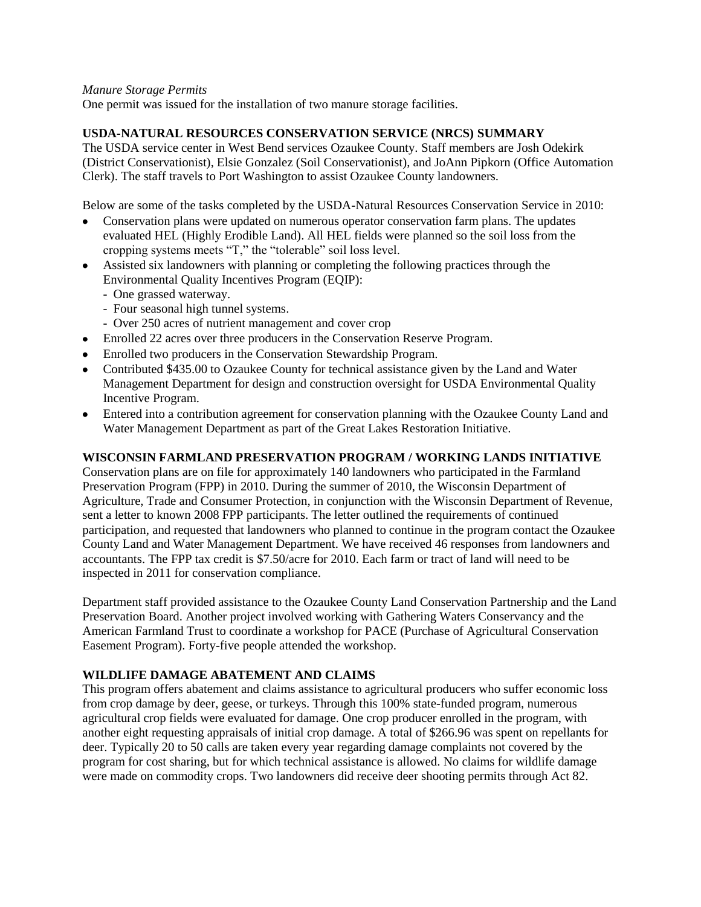### *Manure Storage Permits*

One permit was issued for the installation of two manure storage facilities.

## **USDA-NATURAL RESOURCES CONSERVATION SERVICE (NRCS) SUMMARY**

The USDA service center in West Bend services Ozaukee County. Staff members are Josh Odekirk (District Conservationist), Elsie Gonzalez (Soil Conservationist), and JoAnn Pipkorn (Office Automation Clerk). The staff travels to Port Washington to assist Ozaukee County landowners.

Below are some of the tasks completed by the USDA-Natural Resources Conservation Service in 2010:

- Conservation plans were updated on numerous operator conservation farm plans. The updates evaluated HEL (Highly Erodible Land). All HEL fields were planned so the soil loss from the cropping systems meets "T," the "tolerable" soil loss level.
- Assisted six landowners with planning or completing the following practices through the Environmental Quality Incentives Program (EQIP):
	- One grassed waterway.
	- Four seasonal high tunnel systems.
	- Over 250 acres of nutrient management and cover crop
- Enrolled 22 acres over three producers in the Conservation Reserve Program.
- Enrolled two producers in the Conservation Stewardship Program.
- Contributed \$435.00 to Ozaukee County for technical assistance given by the Land and Water Management Department for design and construction oversight for USDA Environmental Quality Incentive Program.
- Entered into a contribution agreement for conservation planning with the Ozaukee County Land and Water Management Department as part of the Great Lakes Restoration Initiative.

### **WISCONSIN FARMLAND PRESERVATION PROGRAM / WORKING LANDS INITIATIVE**

Conservation plans are on file for approximately 140 landowners who participated in the Farmland Preservation Program (FPP) in 2010. During the summer of 2010, the Wisconsin Department of Agriculture, Trade and Consumer Protection, in conjunction with the Wisconsin Department of Revenue, sent a letter to known 2008 FPP participants. The letter outlined the requirements of continued participation, and requested that landowners who planned to continue in the program contact the Ozaukee County Land and Water Management Department. We have received 46 responses from landowners and accountants. The FPP tax credit is \$7.50/acre for 2010. Each farm or tract of land will need to be inspected in 2011 for conservation compliance.

Department staff provided assistance to the Ozaukee County Land Conservation Partnership and the Land Preservation Board. Another project involved working with Gathering Waters Conservancy and the American Farmland Trust to coordinate a workshop for PACE (Purchase of Agricultural Conservation Easement Program). Forty-five people attended the workshop.

### **WILDLIFE DAMAGE ABATEMENT AND CLAIMS**

This program offers abatement and claims assistance to agricultural producers who suffer economic loss from crop damage by deer, geese, or turkeys. Through this 100% state-funded program, numerous agricultural crop fields were evaluated for damage. One crop producer enrolled in the program, with another eight requesting appraisals of initial crop damage. A total of \$266.96 was spent on repellants for deer. Typically 20 to 50 calls are taken every year regarding damage complaints not covered by the program for cost sharing, but for which technical assistance is allowed. No claims for wildlife damage were made on commodity crops. Two landowners did receive deer shooting permits through Act 82.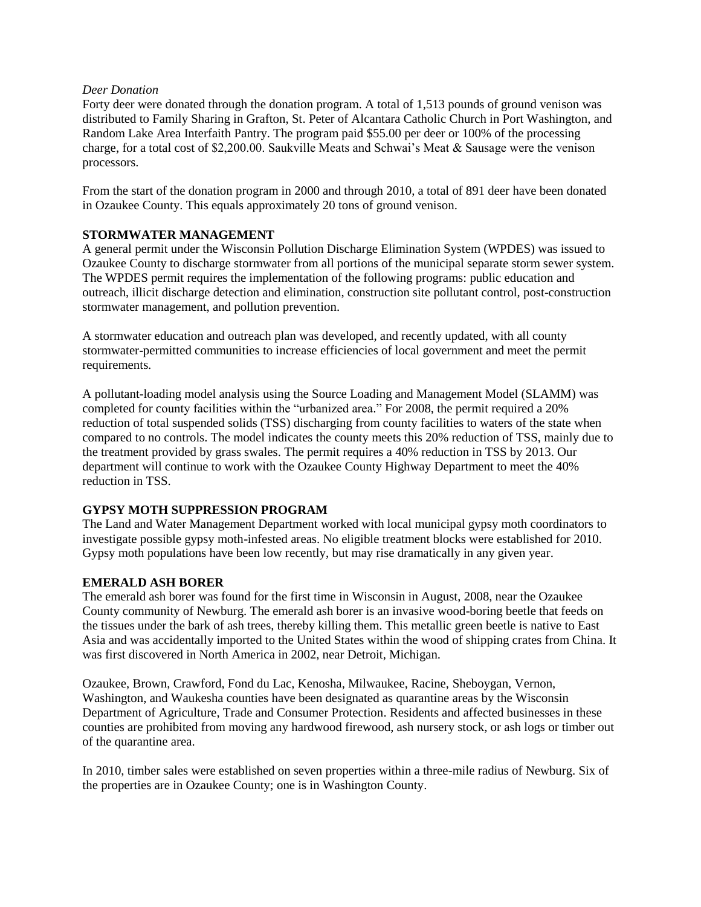### *Deer Donation*

Forty deer were donated through the donation program. A total of 1,513 pounds of ground venison was distributed to Family Sharing in Grafton, St. Peter of Alcantara Catholic Church in Port Washington, and Random Lake Area Interfaith Pantry. The program paid \$55.00 per deer or 100% of the processing charge, for a total cost of \$2,200.00. Saukville Meats and Schwai's Meat & Sausage were the venison processors.

From the start of the donation program in 2000 and through 2010, a total of 891 deer have been donated in Ozaukee County. This equals approximately 20 tons of ground venison.

### **STORMWATER MANAGEMENT**

A general permit under the Wisconsin Pollution Discharge Elimination System (WPDES) was issued to Ozaukee County to discharge stormwater from all portions of the municipal separate storm sewer system. The WPDES permit requires the implementation of the following programs: public education and outreach, illicit discharge detection and elimination, construction site pollutant control, post-construction stormwater management, and pollution prevention.

A stormwater education and outreach plan was developed, and recently updated, with all county stormwater-permitted communities to increase efficiencies of local government and meet the permit requirements.

A pollutant-loading model analysis using the Source Loading and Management Model (SLAMM) was completed for county facilities within the "urbanized area." For 2008, the permit required a 20% reduction of total suspended solids (TSS) discharging from county facilities to waters of the state when compared to no controls. The model indicates the county meets this 20% reduction of TSS, mainly due to the treatment provided by grass swales. The permit requires a 40% reduction in TSS by 2013. Our department will continue to work with the Ozaukee County Highway Department to meet the 40% reduction in TSS.

# **GYPSY MOTH SUPPRESSION PROGRAM**

The Land and Water Management Department worked with local municipal gypsy moth coordinators to investigate possible gypsy moth-infested areas. No eligible treatment blocks were established for 2010. Gypsy moth populations have been low recently, but may rise dramatically in any given year.

# **EMERALD ASH BORER**

The emerald ash borer was found for the first time in Wisconsin in August, 2008, near the Ozaukee County community of Newburg. The emerald ash borer is an invasive wood-boring beetle that feeds on the tissues under the bark of ash trees, thereby killing them. This metallic green beetle is native to East Asia and was accidentally imported to the United States within the wood of shipping crates from China. It was first discovered in North America in 2002, near Detroit, Michigan.

Ozaukee, Brown, Crawford, Fond du Lac, Kenosha, Milwaukee, Racine, Sheboygan, Vernon, Washington, and Waukesha counties have been designated as quarantine areas by the Wisconsin Department of Agriculture, Trade and Consumer Protection. Residents and affected businesses in these counties are prohibited from moving any hardwood firewood, ash nursery stock, or ash logs or timber out of the quarantine area.

In 2010, timber sales were established on seven properties within a three-mile radius of Newburg. Six of the properties are in Ozaukee County; one is in Washington County.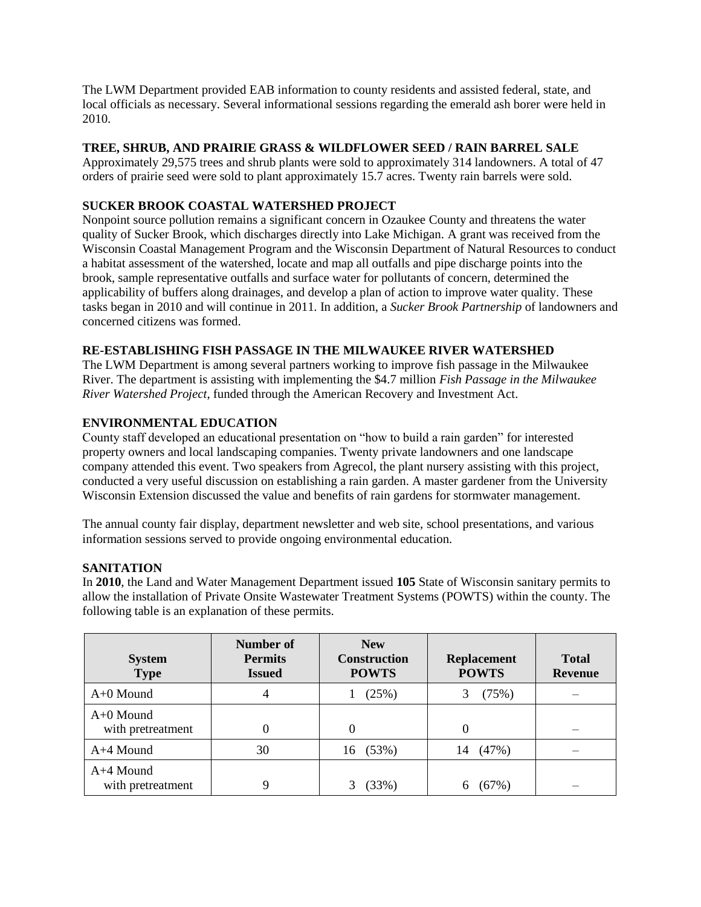The LWM Department provided EAB information to county residents and assisted federal, state, and local officials as necessary. Several informational sessions regarding the emerald ash borer were held in 2010.

## **TREE, SHRUB, AND PRAIRIE GRASS & WILDFLOWER SEED / RAIN BARREL SALE**

Approximately 29,575 trees and shrub plants were sold to approximately 314 landowners. A total of 47 orders of prairie seed were sold to plant approximately 15.7 acres. Twenty rain barrels were sold.

## **SUCKER BROOK COASTAL WATERSHED PROJECT**

Nonpoint source pollution remains a significant concern in Ozaukee County and threatens the water quality of Sucker Brook, which discharges directly into Lake Michigan. A grant was received from the Wisconsin Coastal Management Program and the Wisconsin Department of Natural Resources to conduct a habitat assessment of the watershed, locate and map all outfalls and pipe discharge points into the brook, sample representative outfalls and surface water for pollutants of concern, determined the applicability of buffers along drainages, and develop a plan of action to improve water quality. These tasks began in 2010 and will continue in 2011. In addition, a *Sucker Brook Partnership* of landowners and concerned citizens was formed.

## **RE-ESTABLISHING FISH PASSAGE IN THE MILWAUKEE RIVER WATERSHED**

The LWM Department is among several partners working to improve fish passage in the Milwaukee River. The department is assisting with implementing the \$4.7 million *Fish Passage in the Milwaukee River Watershed Project*, funded through the American Recovery and Investment Act.

## **ENVIRONMENTAL EDUCATION**

County staff developed an educational presentation on "how to build a rain garden" for interested property owners and local landscaping companies. Twenty private landowners and one landscape company attended this event. Two speakers from Agrecol, the plant nursery assisting with this project, conducted a very useful discussion on establishing a rain garden. A master gardener from the University Wisconsin Extension discussed the value and benefits of rain gardens for stormwater management.

The annual county fair display, department newsletter and web site, school presentations, and various information sessions served to provide ongoing environmental education.

# **SANITATION**

In **2010**, the Land and Water Management Department issued **105** State of Wisconsin sanitary permits to allow the installation of Private Onsite Wastewater Treatment Systems (POWTS) within the county. The following table is an explanation of these permits.

| <b>System</b><br><b>Type</b>     | Number of<br><b>Permits</b><br><b>Issued</b> | <b>New</b><br><b>Construction</b><br><b>POWTS</b> | <b>Replacement</b><br><b>POWTS</b> | <b>Total</b><br><b>Revenue</b> |
|----------------------------------|----------------------------------------------|---------------------------------------------------|------------------------------------|--------------------------------|
| $A+0$ Mound                      | 4                                            | (25%)                                             | (75%)                              |                                |
| $A+0$ Mound<br>with pretreatment |                                              |                                                   | $\Omega$                           |                                |
| A+4 Mound                        | 30                                           | 16 (53%)                                          | (47%)<br>14                        |                                |
| A+4 Mound<br>with pretreatment   | Q                                            | (33%)                                             | (67%)                              |                                |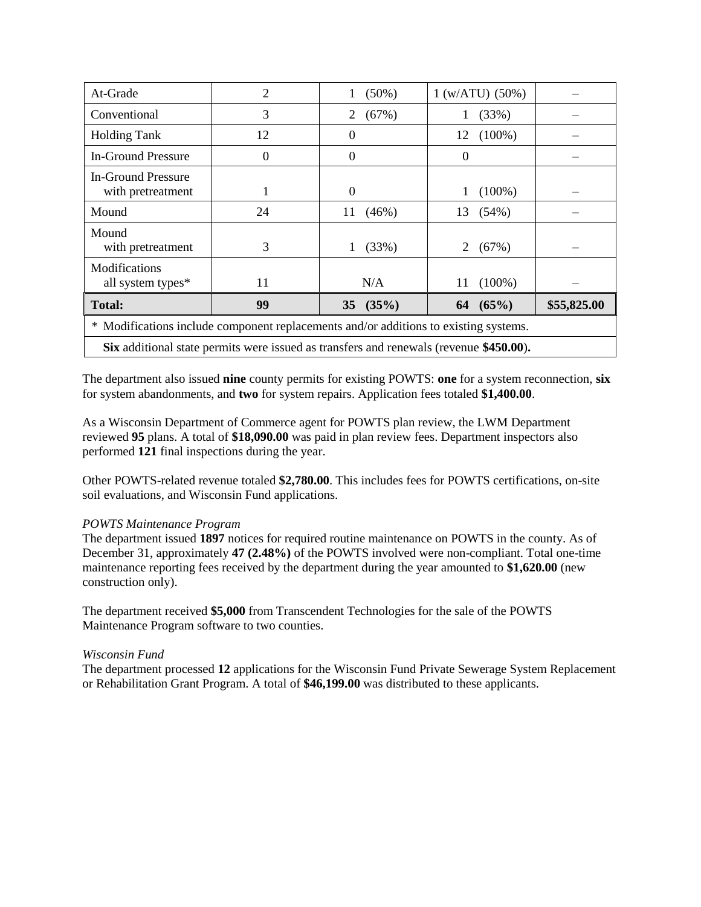| At-Grade                                                                                | 2  | $(50\%)$    | 1 (w/ATU) (50%) |             |  |
|-----------------------------------------------------------------------------------------|----|-------------|-----------------|-------------|--|
| Conventional                                                                            | 3  | (67%)       | (33%)           |             |  |
| <b>Holding Tank</b>                                                                     | 12 | 0           | $(100\%)$<br>12 |             |  |
| <b>In-Ground Pressure</b>                                                               | 0  | $\Omega$    | 0               |             |  |
| <b>In-Ground Pressure</b><br>with pretreatment                                          |    | 0           | $(100\%)$       |             |  |
| Mound                                                                                   | 24 | (46%)<br>11 | (54%)<br>13     |             |  |
| Mound<br>with pretreatment                                                              | 3  | (33%)       | 2<br>(67%)      |             |  |
| Modifications<br>all system types*                                                      | 11 | N/A         | $(100\%)$<br>11 |             |  |
| <b>Total:</b>                                                                           | 99 | 35 $(35%)$  | 64 $(65%)$      | \$55,825.00 |  |
| Modifications include component replacements and/or additions to existing systems.<br>∗ |    |             |                 |             |  |
| Six additional state permits were issued as transfers and renewals (revenue \$450.00).  |    |             |                 |             |  |

The department also issued **nine** county permits for existing POWTS: **one** for a system reconnection, **six** for system abandonments, and **two** for system repairs. Application fees totaled **\$1,400.00**.

As a Wisconsin Department of Commerce agent for POWTS plan review, the LWM Department reviewed **95** plans. A total of **\$18,090.00** was paid in plan review fees. Department inspectors also performed **121** final inspections during the year.

Other POWTS-related revenue totaled **\$2,780.00**. This includes fees for POWTS certifications, on-site soil evaluations, and Wisconsin Fund applications.

### *POWTS Maintenance Program*

The department issued **1897** notices for required routine maintenance on POWTS in the county. As of December 31, approximately **47 (2.48%)** of the POWTS involved were non-compliant. Total one-time maintenance reporting fees received by the department during the year amounted to **\$1,620.00** (new construction only).

The department received **\$5,000** from Transcendent Technologies for the sale of the POWTS Maintenance Program software to two counties.

### *Wisconsin Fund*

The department processed **12** applications for the Wisconsin Fund Private Sewerage System Replacement or Rehabilitation Grant Program. A total of **\$46,199.00** was distributed to these applicants.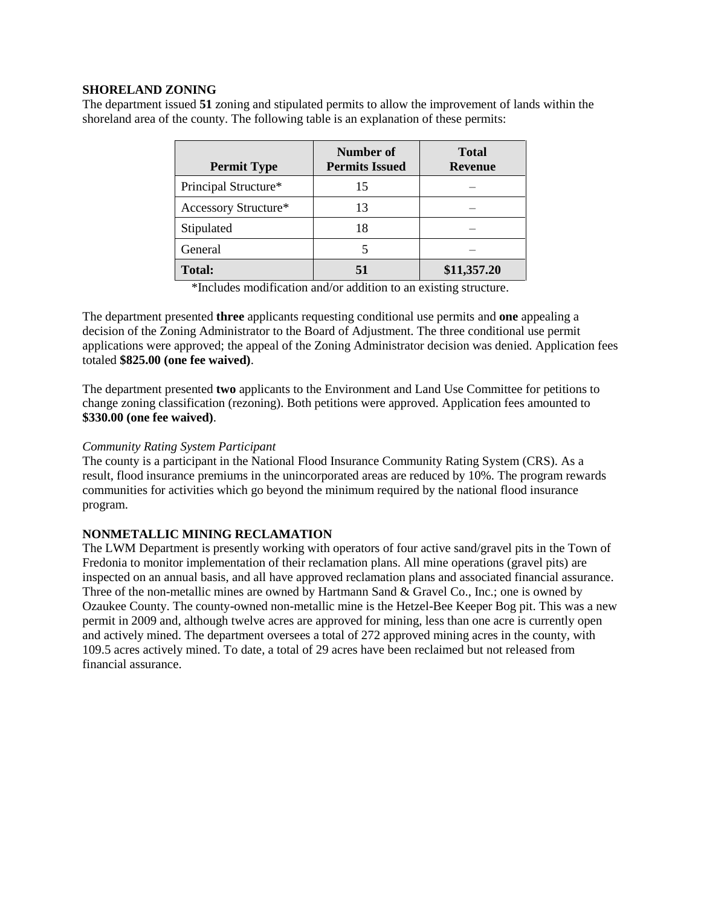### **SHORELAND ZONING**

The department issued **51** zoning and stipulated permits to allow the improvement of lands within the shoreland area of the county. The following table is an explanation of these permits:

| <b>Permit Type</b>   | Number of<br><b>Permits Issued</b> | <b>Total</b><br><b>Revenue</b> |
|----------------------|------------------------------------|--------------------------------|
| Principal Structure* | 15                                 |                                |
| Accessory Structure* | 13                                 |                                |
| Stipulated           | 18                                 |                                |
| General              | 5                                  |                                |
| <b>Total:</b>        |                                    | \$11,357.20                    |

\*Includes modification and/or addition to an existing structure.

The department presented **three** applicants requesting conditional use permits and **one** appealing a decision of the Zoning Administrator to the Board of Adjustment. The three conditional use permit applications were approved; the appeal of the Zoning Administrator decision was denied. Application fees totaled **\$825.00 (one fee waived)**.

The department presented **two** applicants to the Environment and Land Use Committee for petitions to change zoning classification (rezoning). Both petitions were approved. Application fees amounted to **\$330.00 (one fee waived)**.

### *Community Rating System Participant*

The county is a participant in the National Flood Insurance Community Rating System (CRS). As a result, flood insurance premiums in the unincorporated areas are reduced by 10%. The program rewards communities for activities which go beyond the minimum required by the national flood insurance program.

#### **NONMETALLIC MINING RECLAMATION**

The LWM Department is presently working with operators of four active sand/gravel pits in the Town of Fredonia to monitor implementation of their reclamation plans. All mine operations (gravel pits) are inspected on an annual basis, and all have approved reclamation plans and associated financial assurance. Three of the non-metallic mines are owned by Hartmann Sand & Gravel Co., Inc.; one is owned by Ozaukee County. The county-owned non-metallic mine is the Hetzel-Bee Keeper Bog pit. This was a new permit in 2009 and, although twelve acres are approved for mining, less than one acre is currently open and actively mined. The department oversees a total of 272 approved mining acres in the county, with 109.5 acres actively mined. To date, a total of 29 acres have been reclaimed but not released from financial assurance.